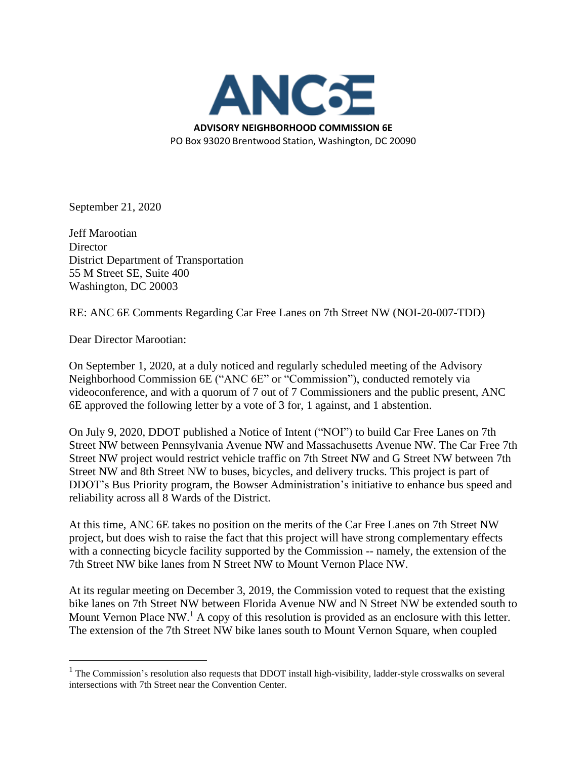

September 21, 2020

Jeff Marootian **Director** District Department of Transportation 55 M Street SE, Suite 400 Washington, DC 20003

RE: ANC 6E Comments Regarding Car Free Lanes on 7th Street NW (NOI-20-007-TDD)

Dear Director Marootian:

On September 1, 2020, at a duly noticed and regularly scheduled meeting of the Advisory Neighborhood Commission 6E ("ANC 6E" or "Commission"), conducted remotely via videoconference, and with a quorum of 7 out of 7 Commissioners and the public present, ANC 6E approved the following letter by a vote of 3 for, 1 against, and 1 abstention.

On July 9, 2020, DDOT published a Notice of Intent ("NOI") to build Car Free Lanes on 7th Street NW between Pennsylvania Avenue NW and Massachusetts Avenue NW. The Car Free 7th Street NW project would restrict vehicle traffic on 7th Street NW and G Street NW between 7th Street NW and 8th Street NW to buses, bicycles, and delivery trucks. This project is part of DDOT's Bus Priority program, the Bowser Administration's initiative to enhance bus speed and reliability across all 8 Wards of the District.

At this time, ANC 6E takes no position on the merits of the Car Free Lanes on 7th Street NW project, but does wish to raise the fact that this project will have strong complementary effects with a connecting bicycle facility supported by the Commission -- namely, the extension of the 7th Street NW bike lanes from N Street NW to Mount Vernon Place NW.

At its regular meeting on December 3, 2019, the Commission voted to request that the existing bike lanes on 7th Street NW between Florida Avenue NW and N Street NW be extended south to Mount Vernon Place NW.<sup>1</sup> A copy of this resolution is provided as an enclosure with this letter. The extension of the 7th Street NW bike lanes south to Mount Vernon Square, when coupled

 $1$  The Commission's resolution also requests that DDOT install high-visibility, ladder-style crosswalks on several intersections with 7th Street near the Convention Center.